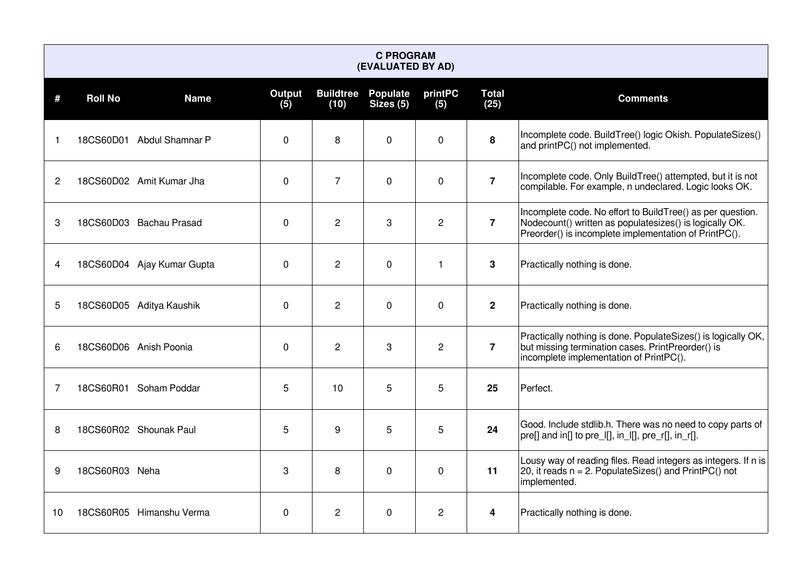|                | <b>C PROGRAM</b><br>(EVALUATED BY AD) |                            |               |                          |                              |                |                      |                                                                                                                                                                                |  |  |  |  |  |
|----------------|---------------------------------------|----------------------------|---------------|--------------------------|------------------------------|----------------|----------------------|--------------------------------------------------------------------------------------------------------------------------------------------------------------------------------|--|--|--|--|--|
| #              | <b>Roll No</b>                        | <b>Name</b>                | Output<br>(5) | <b>Buildtree</b><br>(10) | <b>Populate</b><br>Sizes (5) | printPC<br>(5) | <b>Total</b><br>(25) | <b>Comments</b>                                                                                                                                                                |  |  |  |  |  |
| 1              |                                       | 18CS60D01 Abdul Shamnar P  | 0             | 8                        | $\Omega$                     | $\mathbf 0$    | 8                    | Incomplete code. BuildTree() logic Okish. PopulateSizes()<br>and printPC() not implemented.                                                                                    |  |  |  |  |  |
| $\overline{c}$ |                                       | 18CS60D02 Amit Kumar Jha   | $\mathbf 0$   | $\overline{7}$           | $\Omega$                     | 0              | $\overline{7}$       | Incomplete code. Only BuildTree() attempted, but it is not<br>compilable. For example, n undeclared. Logic looks OK.                                                           |  |  |  |  |  |
| 3              |                                       | 18CS60D03 Bachau Prasad    | $\Omega$      | $\overline{c}$           | 3                            | $\overline{c}$ | $\overline{7}$       | Incomplete code. No effort to BuildTree() as per question.<br>Nodecount() written as populatesizes() is logically OK.<br>Preorder() is incomplete implementation of PrintPC(). |  |  |  |  |  |
| 4              |                                       | 18CS60D04 Ajay Kumar Gupta | $\Omega$      | $\overline{2}$           | $\mathbf 0$                  | 1              | 3                    | Practically nothing is done.                                                                                                                                                   |  |  |  |  |  |
| 5              |                                       | 18CS60D05 Aditya Kaushik   | 0             | $\overline{2}$           | $\mathbf 0$                  | 0              | $\mathbf{2}$         | Practically nothing is done.                                                                                                                                                   |  |  |  |  |  |
| 6              |                                       | 18CS60D06 Anish Poonia     | 0             | $\overline{2}$           | 3                            | $\overline{c}$ | $\overline{7}$       | Practically nothing is done. PopulateSizes() is logically OK,<br>but missing termination cases. PrintPreorder() is<br>incomplete implementation of PrintPC().                  |  |  |  |  |  |
| 7              |                                       | 18CS60R01 Soham Poddar     | 5             | 10                       | 5                            | 5              | 25                   | Perfect.                                                                                                                                                                       |  |  |  |  |  |
| 8              |                                       | 18CS60R02 Shounak Paul     | 5             | 9                        | 5                            | 5              | 24                   | Good. Include stdlib.h. There was no need to copy parts of<br>pre[] and in[] to pre_l[], in_l[], pre_r[], in_r[].                                                              |  |  |  |  |  |
| 9              | 18CS60R03 Neha                        |                            | 3             | 8                        | $\mathbf 0$                  | $\Omega$       | 11                   | Lousy way of reading files. Read integers as integers. If n is<br>20, it reads $n = 2$ . PopulateSizes() and PrintPC() not<br>implemented.                                     |  |  |  |  |  |
| 10             |                                       | 18CS60R05 Himanshu Verma   | $\mathbf 0$   | $\mathbf{2}$             | $\mathbf{0}$                 | $\overline{2}$ | 4                    | Practically nothing is done.                                                                                                                                                   |  |  |  |  |  |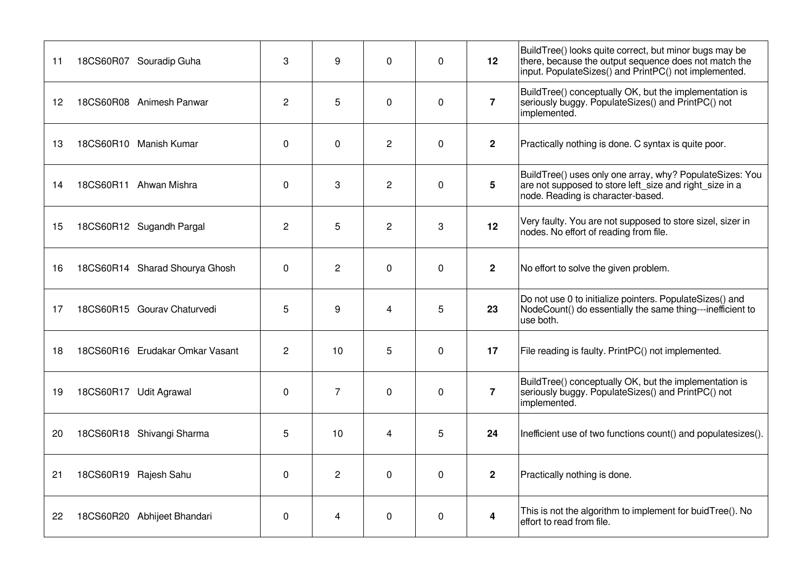| 11 | 18CS60R07 Souradip Guha         | 3              | 9              | $\Omega$       | $\Omega$ | 12                      | BuildTree() looks quite correct, but minor bugs may be<br>there, because the output sequence does not match the<br>input. PopulateSizes() and PrintPC() not implemented. |
|----|---------------------------------|----------------|----------------|----------------|----------|-------------------------|--------------------------------------------------------------------------------------------------------------------------------------------------------------------------|
| 12 | 18CS60R08 Animesh Panwar        | $\overline{c}$ | 5              | $\mathbf 0$    | 0        | $\overline{7}$          | BuildTree() conceptually OK, but the implementation is<br>seriously buggy. PopulateSizes() and PrintPC() not<br>implemented.                                             |
| 13 | 18CS60R10 Manish Kumar          | 0              | $\mathbf 0$    | $\overline{2}$ | 0        | $\mathbf{2}$            | Practically nothing is done. C syntax is quite poor.                                                                                                                     |
| 14 | 18CS60R11 Ahwan Mishra          | 0              | 3              | $\overline{c}$ | 0        | 5                       | BuildTree() uses only one array, why? PopulateSizes: You<br>are not supposed to store left size and right size in a<br>node. Reading is character-based.                 |
| 15 | 18CS60R12 Sugandh Pargal        | $\overline{c}$ | 5              | $\mathbf{2}$   | 3        | 12                      | Very faulty. You are not supposed to store sizel, sizer in<br>nodes. No effort of reading from file.                                                                     |
| 16 | 18CS60R14 Sharad Shourya Ghosh  | 0              | $\overline{2}$ | $\mathbf 0$    | $\Omega$ | $\mathbf{2}$            | No effort to solve the given problem.                                                                                                                                    |
| 17 | 18CS60R15 Gourav Chaturvedi     | 5              | 9              | $\overline{4}$ | 5        | 23                      | Do not use 0 to initialize pointers. PopulateSizes() and<br>NodeCount() do essentially the same thing---inefficient to<br>use both.                                      |
| 18 | 18CS60R16 Erudakar Omkar Vasant | $\overline{2}$ | 10             | 5              | 0        | 17                      | File reading is faulty. PrintPC() not implemented.                                                                                                                       |
| 19 | 18CS60R17 Udit Agrawal          | 0              | $\overline{7}$ | $\mathbf 0$    | $\Omega$ | $\overline{7}$          | BuildTree() conceptually OK, but the implementation is<br>seriously buggy. PopulateSizes() and PrintPC() not<br>implemented.                                             |
| 20 | 18CS60R18 Shivangi Sharma       | 5              | 10             | $\overline{4}$ | 5        | 24                      | Inefficient use of two functions count() and populatesizes().                                                                                                            |
| 21 | 18CS60R19 Rajesh Sahu           | 0              | $\overline{c}$ | $\mathbf 0$    | $\Omega$ | $\overline{\mathbf{2}}$ | Practically nothing is done.                                                                                                                                             |
| 22 | 18CS60R20 Abhijeet Bhandari     | 0              | 4              | $\mathbf 0$    | 0        | $\boldsymbol{4}$        | This is not the algorithm to implement for buid Tree(). No<br>effort to read from file.                                                                                  |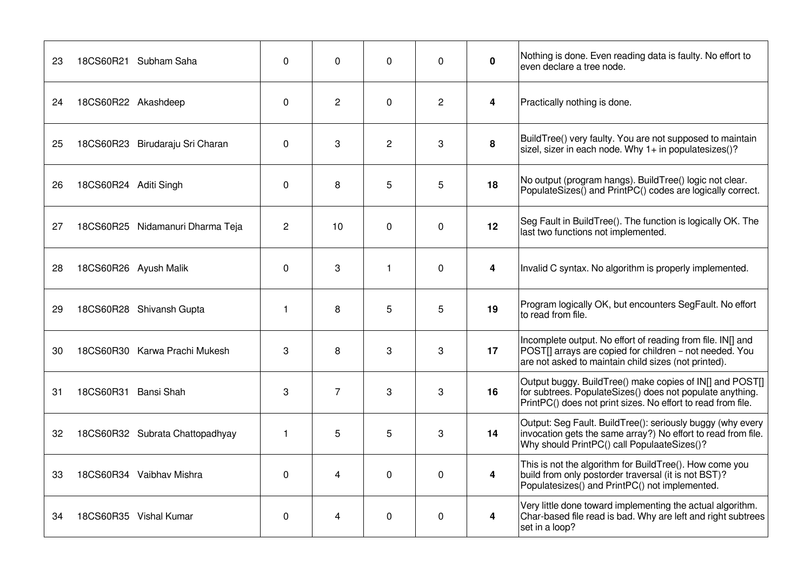| 23 | 18CS60R21 Subham Saha            | $\mathbf{0}$   | $\Omega$       | $\Omega$       | $\Omega$       | 0                       | Nothing is done. Even reading data is faulty. No effort to<br>even declare a tree node.                                                                                               |
|----|----------------------------------|----------------|----------------|----------------|----------------|-------------------------|---------------------------------------------------------------------------------------------------------------------------------------------------------------------------------------|
| 24 | 18CS60R22 Akashdeep              | $\Omega$       | $\mathbf{2}$   | $\Omega$       | $\overline{c}$ | $\overline{\mathbf{4}}$ | Practically nothing is done.                                                                                                                                                          |
| 25 | 18CS60R23 Birudaraju Sri Charan  | 0              | 3              | $\overline{c}$ | 3              | 8                       | BuildTree() very faulty. You are not supposed to maintain<br>sizel, sizer in each node. Why $1+$ in populatesizes()?                                                                  |
| 26 | 18CS60R24 Aditi Singh            | 0              | 8              | 5              | 5              | 18                      | No output (program hangs). BuildTree() logic not clear.<br>PopulateSizes() and PrintPC() codes are logically correct.                                                                 |
| 27 | 18CS60R25 Nidamanuri Dharma Teja | $\overline{c}$ | 10             | $\mathbf 0$    | 0              | 12                      | Seg Fault in BuildTree(). The function is logically OK. The<br>last two functions not implemented.                                                                                    |
| 28 | 18CS60R26 Ayush Malik            | $\mathbf 0$    | 3              | $\mathbf{1}$   | $\mathbf 0$    | 4                       | Invalid C syntax. No algorithm is properly implemented.                                                                                                                               |
| 29 | 18CS60R28 Shivansh Gupta         | $\mathbf{1}$   | 8              | 5              | 5              | 19                      | Program logically OK, but encounters SegFault. No effort<br>to read from file.                                                                                                        |
| 30 | 18CS60R30 Karwa Prachi Mukesh    | 3              | 8              | 3              | 3              | 17                      | Incomplete output. No effort of reading from file. IN[] and<br>POSTII arrays are copied for children - not needed. You<br>are not asked to maintain child sizes (not printed).        |
| 31 | 18CS60R31 Bansi Shah             | 3              | $\overline{7}$ | 3              | 3              | 16                      | Output buggy. BuildTree() make copies of IN[] and POST[]<br>for subtrees. PopulateSizes() does not populate anything.<br>PrintPC() does not print sizes. No effort to read from file. |
| 32 | 18CS60R32 Subrata Chattopadhyay  | $\mathbf{1}$   | 5              | 5              | 3              | 14                      | Output: Seg Fault. BuildTree(): seriously buggy (why every<br>invocation gets the same array?) No effort to read from file.<br>Why should PrintPC() call PopulaateSizes()?            |
| 33 | 18CS60R34 Vaibhav Mishra         | $\Omega$       | $\overline{4}$ | $\Omega$       | 0              | $\overline{\mathbf{4}}$ | This is not the algorithm for BuildTree(). How come you<br>build from only postorder traversal (it is not BST)?<br>Populatesizes() and PrintPC() not implemented.                     |
| 34 | 18CS60R35 Vishal Kumar           | 0              | 4              | 0              | 0              | 4                       | Very little done toward implementing the actual algorithm.<br>Char-based file read is bad. Why are left and right subtrees<br>set in a loop?                                          |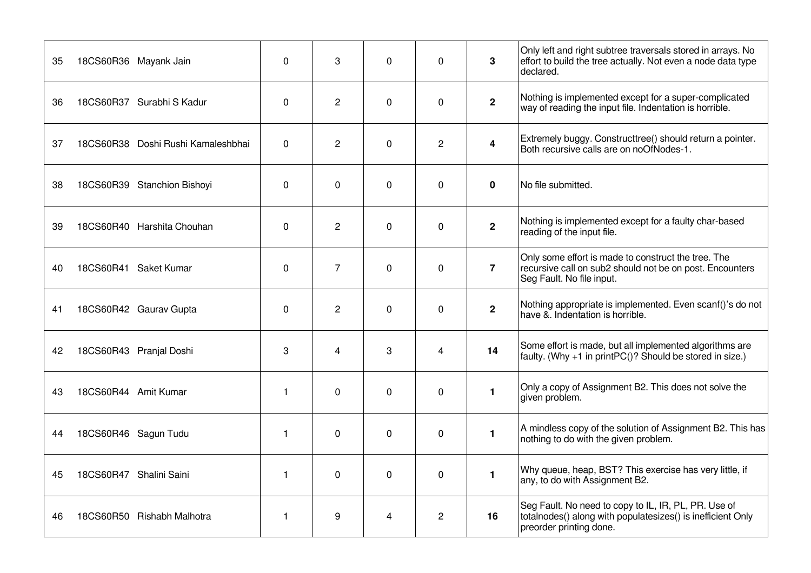| 35 | 18CS60R36 Mayank Jain              | 0            | 3              | $\mathbf 0$ | 0              | 3              | Only left and right subtree traversals stored in arrays. No<br>effort to build the tree actually. Not even a node data type<br>declared.       |
|----|------------------------------------|--------------|----------------|-------------|----------------|----------------|------------------------------------------------------------------------------------------------------------------------------------------------|
| 36 | 18CS60R37 Surabhi S Kadur          | 0            | $\overline{2}$ | $\mathbf 0$ | 0              | $\mathbf{2}$   | Nothing is implemented except for a super-complicated<br>way of reading the input file. Indentation is horrible.                               |
| 37 | 18CS60R38 Doshi Rushi Kamaleshbhai | 0            | $\overline{c}$ | $\mathbf 0$ | $\overline{c}$ | 4              | Extremely buggy. Constructtree() should return a pointer.<br>Both recursive calls are on noOfNodes-1.                                          |
| 38 | 18CS60R39 Stanchion Bishoyi        | $\Omega$     | $\mathbf 0$    | $\mathbf 0$ | 0              | $\mathbf 0$    | No file submitted.                                                                                                                             |
| 39 | 18CS60R40 Harshita Chouhan         | 0            | $\overline{c}$ | $\mathbf 0$ | $\mathbf 0$    | $\mathbf{2}$   | Nothing is implemented except for a faulty char-based<br>reading of the input file.                                                            |
| 40 | 18CS60R41 Saket Kumar              | $\mathbf 0$  | $\overline{7}$ | $\mathbf 0$ | $\Omega$       | $\overline{7}$ | Only some effort is made to construct the tree. The<br>recursive call on sub2 should not be on post. Encounters<br>Seg Fault. No file input.   |
| 41 | 18CS60R42 Gaurav Gupta             | 0            | $\overline{2}$ | $\mathbf 0$ | 0              | $2^{\circ}$    | Nothing appropriate is implemented. Even scanf()'s do not<br>have & Indentation is horrible.                                                   |
| 42 | 18CS60R43 Pranjal Doshi            | 3            | 4              | 3           | 4              | 14             | Some effort is made, but all implemented algorithms are<br>faulty. (Why +1 in print $PC()$ ? Should be stored in size.)                        |
| 43 | 18CS60R44 Amit Kumar               | $\mathbf{1}$ | $\mathbf 0$    | $\mathbf 0$ | 0              | $\mathbf{1}$   | Only a copy of Assignment B2. This does not solve the<br>given problem.                                                                        |
| 44 | 18CS60R46 Sagun Tudu               | $\mathbf{1}$ | $\mathbf{0}$   | $\mathbf 0$ | $\Omega$       | $\mathbf{1}$   | A mindless copy of the solution of Assignment B2. This has<br>nothing to do with the given problem.                                            |
| 45 | 18CS60R47 Shalini Saini            | 1            | $\mathbf 0$    | $\mathbf 0$ | 0              | $\mathbf{1}$   | Why queue, heap, BST? This exercise has very little, if<br>any, to do with Assignment B2.                                                      |
| 46 | 18CS60R50 Rishabh Malhotra         | $\mathbf{1}$ | 9              | 4           | $\overline{c}$ | 16             | Seg Fault. No need to copy to IL, IR, PL, PR. Use of<br>totalnodes() along with populatesizes() is inefficient Only<br>preorder printing done. |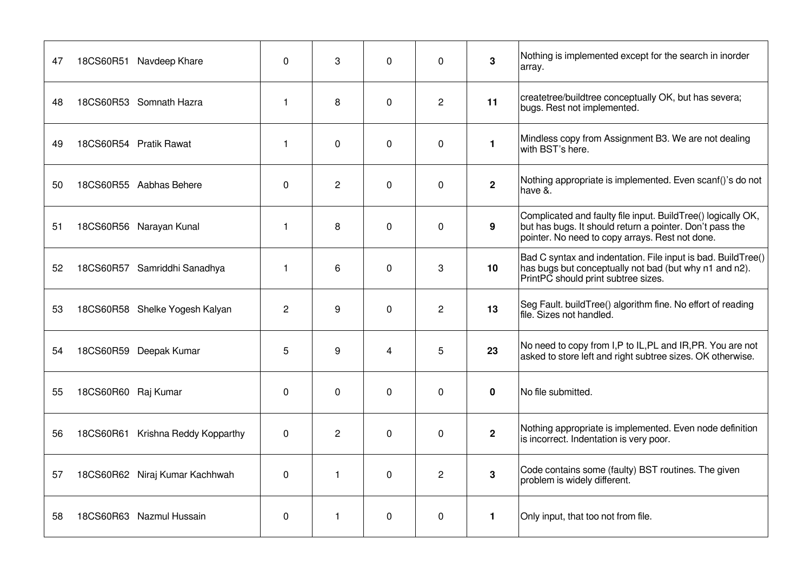| 47 | 18CS60R51 Navdeep Khare           | $\Omega$       | 3              | $\Omega$       | $\Omega$       | 3            | Nothing is implemented except for the search in inorder<br>array.                                                                                                           |
|----|-----------------------------------|----------------|----------------|----------------|----------------|--------------|-----------------------------------------------------------------------------------------------------------------------------------------------------------------------------|
| 48 | 18CS60R53 Somnath Hazra           | 1              | 8              | $\Omega$       | $\overline{c}$ | 11           | createtree/buildtree conceptually OK, but has severa;<br>bugs. Rest not implemented.                                                                                        |
| 49 | 18CS60R54 Pratik Rawat            | 1              | $\mathbf 0$    | $\mathbf 0$    | 0              | $\mathbf{1}$ | Mindless copy from Assignment B3. We are not dealing<br>with BST's here.                                                                                                    |
| 50 | 18CS60R55 Aabhas Behere           | 0              | $\overline{c}$ | $\Omega$       | $\Omega$       | $\mathbf{2}$ | Nothing appropriate is implemented. Even scanf()'s do not<br>have &.                                                                                                        |
| 51 | 18CS60R56 Narayan Kunal           | 1              | 8              | $\mathbf 0$    | 0              | 9            | Complicated and faulty file input. BuildTree() logically OK,<br>but has bugs. It should return a pointer. Don't pass the<br>pointer. No need to copy arrays. Rest not done. |
| 52 | 18CS60R57 Samriddhi Sanadhya      | 1              | 6              | $\Omega$       | 3              | 10           | Bad C syntax and indentation. File input is bad. BuildTree()<br>has bugs but conceptually not bad (but why n1 and n2).<br>PrintPC should print subtree sizes.               |
| 53 | 18CS60R58 Shelke Yogesh Kalyan    | $\overline{c}$ | 9              | $\Omega$       | $\overline{c}$ | 13           | Seg Fault. buildTree() algorithm fine. No effort of reading<br>file. Sizes not handled.                                                                                     |
| 54 | 18CS60R59 Deepak Kumar            | 5              | 9              | $\overline{4}$ | 5              | 23           | No need to copy from I,P to IL,PL and IR,PR. You are not<br>asked to store left and right subtree sizes. OK otherwise.                                                      |
| 55 | 18CS60R60 Raj Kumar               | $\Omega$       | $\mathbf 0$    | $\Omega$       | $\Omega$       | 0            | No file submitted.                                                                                                                                                          |
| 56 | 18CS60R61 Krishna Reddy Kopparthy | 0              | $\overline{c}$ | $\mathbf 0$    | 0              | $\mathbf{2}$ | Nothing appropriate is implemented. Even node definition<br>is incorrect. Indentation is very poor.                                                                         |
| 57 | 18CS60R62 Niraj Kumar Kachhwah    | $\Omega$       | $\mathbf{1}$   | $\Omega$       | $\overline{c}$ | 3            | Code contains some (faulty) BST routines. The given<br>problem is widely different.                                                                                         |
| 58 | 18CS60R63 Nazmul Hussain          | 0              | $\mathbf{1}$   | 0              | $\Omega$       | 1.           | Only input, that too not from file.                                                                                                                                         |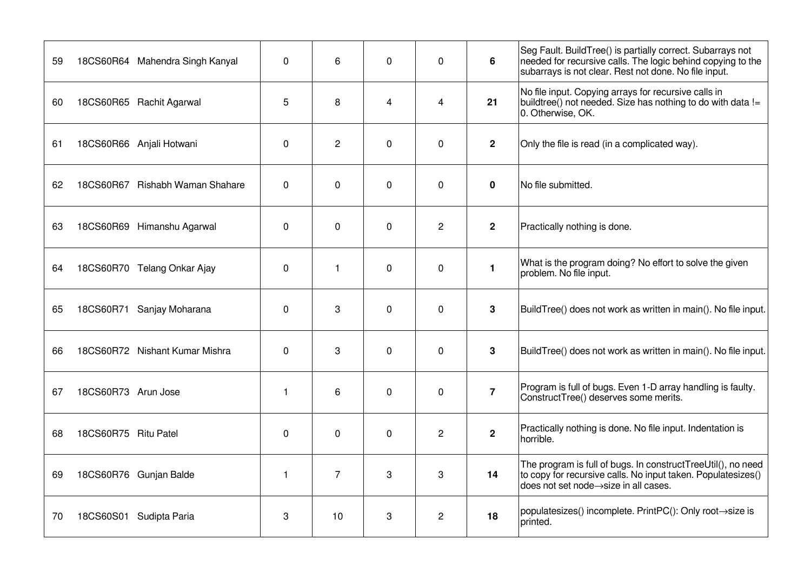|    |                                 |              |                |                         |                |                | Seg Fault. BuildTree() is partially correct. Subarrays not                                                                                                              |
|----|---------------------------------|--------------|----------------|-------------------------|----------------|----------------|-------------------------------------------------------------------------------------------------------------------------------------------------------------------------|
| 59 | 18CS60R64 Mahendra Singh Kanyal | $\Omega$     | 6              | $\Omega$                | $\Omega$       | 6              | needed for recursive calls. The logic behind copying to the<br>subarrays is not clear. Rest not done. No file input.                                                    |
| 60 | 18CS60R65 Rachit Agarwal        | 5            | 8              | $\overline{\mathbf{A}}$ | 4              | 21             | No file input. Copying arrays for recursive calls in<br>buildtree() not needed. Size has nothing to do with data !=<br>0. Otherwise, OK.                                |
| 61 | 18CS60R66 Anjali Hotwani        | 0            | $\overline{c}$ | $\mathbf 0$             | 0              | $\mathbf{2}$   | Only the file is read (in a complicated way).                                                                                                                           |
| 62 | 18CS60R67 Rishabh Waman Shahare | 0            | $\mathbf 0$    | $\mathbf 0$             | $\Omega$       | $\mathbf 0$    | No file submitted.                                                                                                                                                      |
| 63 | 18CS60R69 Himanshu Agarwal      | 0            | $\mathbf 0$    | $\mathbf 0$             | $\overline{c}$ | $\overline{2}$ | Practically nothing is done.                                                                                                                                            |
| 64 | 18CS60R70 Telang Onkar Ajay     | 0            | $\mathbf{1}$   | $\Omega$                | 0              | $\mathbf{1}$   | What is the program doing? No effort to solve the given<br>problem. No file input.                                                                                      |
| 65 | 18CS60R71 Sanjay Moharana       | 0            | 3              | $\mathbf 0$             | 0              | 3              | BuildTree() does not work as written in main(). No file input.                                                                                                          |
| 66 | 18CS60R72 Nishant Kumar Mishra  | 0            | 3              | $\mathbf 0$             | 0              | 3              | BuildTree() does not work as written in main(). No file input.                                                                                                          |
| 67 | 18CS60R73 Arun Jose             | $\mathbf{1}$ | 6              | $\Omega$                | $\Omega$       | $\overline{7}$ | Program is full of bugs. Even 1-D array handling is faulty.<br>ConstructTree() deserves some merits.                                                                    |
| 68 | 18CS60R75 Ritu Patel            | $\mathbf{0}$ | $\mathbf 0$    | $\mathbf 0$             | $\overline{c}$ | $\mathbf{2}$   | Practically nothing is done. No file input. Indentation is<br>horrible.                                                                                                 |
| 69 | 18CS60R76 Gunjan Balde          | 1            | $\overline{7}$ | 3                       | 3              | 14             | The program is full of bugs. In constructTreeUtil(), no need<br>to copy for recursive calls. No input taken. Populatesizes()<br>does not set node -> size in all cases. |
| 70 | 18CS60S01 Sudipta Paria         | 3            | 10             | 3                       | $\overline{c}$ | 18             | populatesizes() incomplete. PrintPC(): Only root→size is<br>printed.                                                                                                    |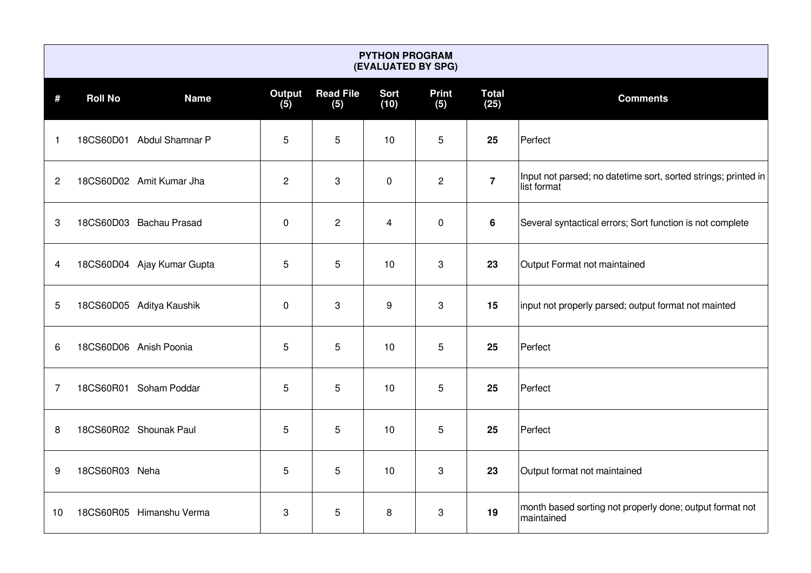|              | <b>PYTHON PROGRAM</b><br>(EVALUATED BY SPG) |                            |                |                         |                     |                     |                      |                                                                               |  |  |  |  |  |
|--------------|---------------------------------------------|----------------------------|----------------|-------------------------|---------------------|---------------------|----------------------|-------------------------------------------------------------------------------|--|--|--|--|--|
| #            | <b>Roll No</b>                              | <b>Name</b>                | Output<br>(5)  | <b>Read File</b><br>(5) | <b>Sort</b><br>(10) | <b>Print</b><br>(5) | <b>Total</b><br>(25) | <b>Comments</b>                                                               |  |  |  |  |  |
| 1            |                                             | 18CS60D01 Abdul Shamnar P  | 5              | 5                       | 10                  | 5                   | 25                   | Perfect                                                                       |  |  |  |  |  |
| $\mathbf{2}$ |                                             | 18CS60D02 Amit Kumar Jha   | $\overline{2}$ | 3                       | $\mathbf 0$         | $\overline{2}$      | $\overline{7}$       | Input not parsed; no datetime sort, sorted strings; printed in<br>list format |  |  |  |  |  |
| 3            |                                             | 18CS60D03 Bachau Prasad    | $\mathbf 0$    | $\overline{c}$          | 4                   | $\mathbf 0$         | 6                    | Several syntactical errors; Sort function is not complete                     |  |  |  |  |  |
| 4            |                                             | 18CS60D04 Ajay Kumar Gupta | 5              | 5                       | 10                  | 3                   | 23                   | Output Format not maintained                                                  |  |  |  |  |  |
| 5            |                                             | 18CS60D05 Aditya Kaushik   | $\mathbf 0$    | 3                       | 9                   | 3                   | 15                   | input not properly parsed; output format not mainted                          |  |  |  |  |  |
| 6            |                                             | 18CS60D06 Anish Poonia     | 5              | 5                       | 10                  | 5                   | 25                   | Perfect                                                                       |  |  |  |  |  |
| 7            |                                             | 18CS60R01 Soham Poddar     | 5              | 5                       | 10                  | 5                   | 25                   | Perfect                                                                       |  |  |  |  |  |
| 8            |                                             | 18CS60R02 Shounak Paul     | 5              | 5                       | 10                  | 5                   | 25                   | Perfect                                                                       |  |  |  |  |  |
| 9            | 18CS60R03 Neha                              |                            | 5              | 5                       | 10                  | 3                   | 23                   | Output format not maintained                                                  |  |  |  |  |  |
| 10           |                                             | 18CS60R05 Himanshu Verma   | 3              | 5                       | 8                   | 3                   | 19                   | month based sorting not properly done; output format not<br>maintained        |  |  |  |  |  |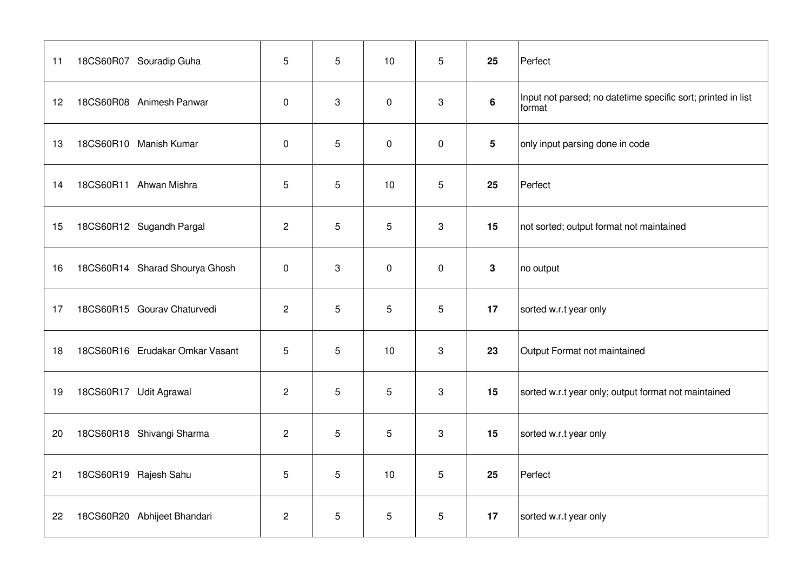| 11 | 18CS60R07 Souradip Guha         | 5              | 5 | 10          | 5           | 25              | Perfect                                                                |
|----|---------------------------------|----------------|---|-------------|-------------|-----------------|------------------------------------------------------------------------|
| 12 | 18CS60R08 Animesh Panwar        | $\mathbf 0$    | 3 | $\mathbf 0$ | 3           | 6               | Input not parsed; no datetime specific sort; printed in list<br>format |
| 13 | 18CS60R10 Manish Kumar          | $\mathbf 0$    | 5 | $\mathbf 0$ | 0           | $5\phantom{.0}$ | only input parsing done in code                                        |
| 14 | 18CS60R11 Ahwan Mishra          | 5              | 5 | 10          | 5           | 25              | Perfect                                                                |
| 15 | 18CS60R12 Sugandh Pargal        | $\overline{2}$ | 5 | 5           | 3           | 15              | not sorted; output format not maintained                               |
| 16 | 18CS60R14 Sharad Shourya Ghosh  | $\mathbf 0$    | 3 | $\mathbf 0$ | $\mathbf 0$ | 3               | no output                                                              |
| 17 | 18CS60R15 Gourav Chaturvedi     | $\overline{2}$ | 5 | 5           | 5           | 17              | sorted w.r.t year only                                                 |
| 18 | 18CS60R16 Erudakar Omkar Vasant | 5              | 5 | 10          | 3           | 23              | Output Format not maintained                                           |
| 19 | 18CS60R17 Udit Agrawal          | $\overline{2}$ | 5 | 5           | 3           | 15              | sorted w.r.t year only; output format not maintained                   |
| 20 | 18CS60R18 Shivangi Sharma       | $\overline{2}$ | 5 | 5           | 3           | 15              | sorted w.r.t year only                                                 |
| 21 | 18CS60R19 Rajesh Sahu           | 5              | 5 | 10          | 5           | 25              | Perfect                                                                |
| 22 | 18CS60R20 Abhijeet Bhandari     | $\overline{c}$ | 5 | 5           | 5           | 17              | sorted w.r.t year only                                                 |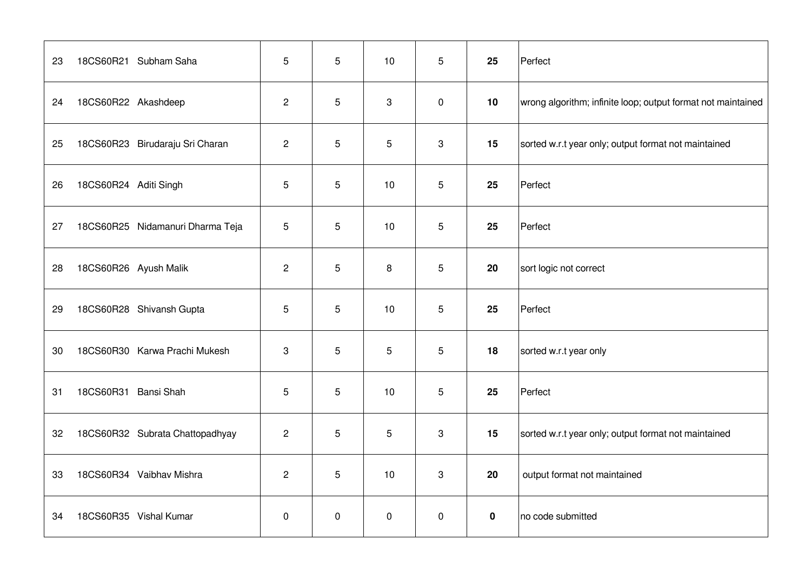| 23 | 18CS60R21 Subham Saha            | 5              | 5              | 10          | 5 | 25       | Perfect                                                      |
|----|----------------------------------|----------------|----------------|-------------|---|----------|--------------------------------------------------------------|
| 24 | 18CS60R22 Akashdeep              | $\overline{2}$ | 5              | 3           | 0 | 10       | wrong algorithm; infinite loop; output format not maintained |
| 25 | 18CS60R23 Birudaraju Sri Charan  | $\overline{c}$ | 5              | 5           | 3 | 15       | sorted w.r.t year only; output format not maintained         |
| 26 | 18CS60R24 Aditi Singh            | 5              | 5              | 10          | 5 | 25       | Perfect                                                      |
| 27 | 18CS60R25 Nidamanuri Dharma Teja | 5              | 5              | 10          | 5 | 25       | Perfect                                                      |
| 28 | 18CS60R26 Ayush Malik            | $\overline{2}$ | $\mathbf 5$    | 8           | 5 | 20       | sort logic not correct                                       |
| 29 | 18CS60R28 Shivansh Gupta         | 5              | 5              | 10          | 5 | 25       | Perfect                                                      |
| 30 | 18CS60R30 Karwa Prachi Mukesh    | 3              | 5              | 5           | 5 | 18       | sorted w.r.t year only                                       |
| 31 | 18CS60R31 Bansi Shah             | 5              | $\overline{5}$ | 10          | 5 | 25       | Perfect                                                      |
| 32 | 18CS60R32 Subrata Chattopadhyay  | $\overline{2}$ | 5              | 5           | 3 | 15       | sorted w.r.t year only; output format not maintained         |
| 33 | 18CS60R34 Vaibhav Mishra         | $\overline{2}$ | 5              | 10          | 3 | 20       | output format not maintained                                 |
| 34 | 18CS60R35 Vishal Kumar           | $\mathbf 0$    | $\mathbf 0$    | $\mathbf 0$ | 0 | $\bf{0}$ | no code submitted                                            |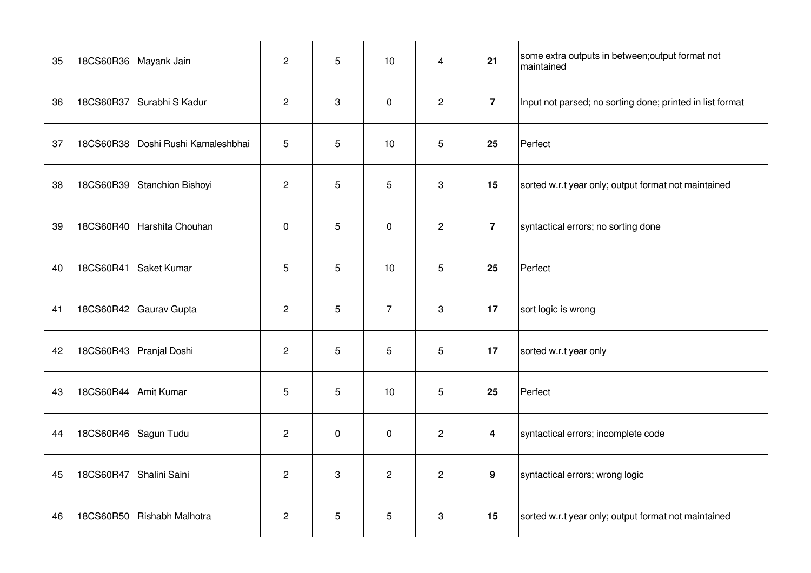| 35 | 18CS60R36 Mayank Jain              | $\overline{2}$ | 5           | 10             | $\overline{4}$ | 21               | some extra outputs in between; output format not<br>maintained |
|----|------------------------------------|----------------|-------------|----------------|----------------|------------------|----------------------------------------------------------------|
| 36 | 18CS60R37 Surabhi S Kadur          | $\overline{2}$ | 3           | $\mathbf 0$    | $\overline{2}$ | $\overline{7}$   | Input not parsed; no sorting done; printed in list format      |
| 37 | 18CS60R38 Doshi Rushi Kamaleshbhai | 5              | 5           | 10             | 5              | 25               | Perfect                                                        |
| 38 | 18CS60R39 Stanchion Bishoyi        | $\overline{2}$ | 5           | 5              | 3              | 15               | sorted w.r.t year only; output format not maintained           |
| 39 | 18CS60R40 Harshita Chouhan         | $\mathbf 0$    | 5           | $\mathbf 0$    | $\overline{2}$ | $\overline{7}$   | syntactical errors; no sorting done                            |
| 40 | 18CS60R41 Saket Kumar              | 5              | 5           | 10             | 5              | 25               | Perfect                                                        |
| 41 | 18CS60R42 Gaurav Gupta             | $\overline{2}$ | 5           | $\overline{7}$ | 3              | 17               | sort logic is wrong                                            |
| 42 | 18CS60R43 Pranjal Doshi            | $\overline{2}$ | 5           | 5              | 5              | 17               | sorted w.r.t year only                                         |
| 43 | 18CS60R44 Amit Kumar               | 5              | 5           | 10             | 5              | 25               | Perfect                                                        |
| 44 | 18CS60R46 Sagun Tudu               | $\overline{2}$ | $\mathbf 0$ | $\mathbf 0$    | $\overline{2}$ | $\boldsymbol{4}$ | syntactical errors; incomplete code                            |
| 45 | 18CS60R47 Shalini Saini            | $\overline{2}$ | 3           | $\mathbf{2}$   | $\overline{2}$ | 9                | syntactical errors; wrong logic                                |
| 46 | 18CS60R50 Rishabh Malhotra         | $\overline{c}$ | 5           | 5              | 3              | 15               | sorted w.r.t year only; output format not maintained           |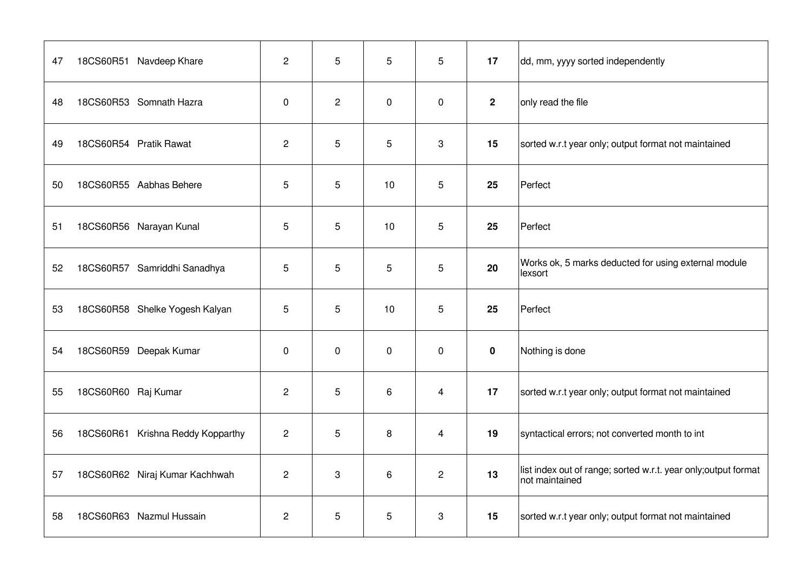| 47 | 18CS60R51 Navdeep Khare           | $\overline{2}$ | 5            | 5              | 5              | 17           | dd, mm, yyyy sorted independently                                                 |
|----|-----------------------------------|----------------|--------------|----------------|----------------|--------------|-----------------------------------------------------------------------------------|
| 48 | 18CS60R53 Somnath Hazra           | $\mathbf 0$    | $\mathbf{2}$ | $\mathbf 0$    | 0              | $\mathbf{2}$ | only read the file                                                                |
| 49 | 18CS60R54 Pratik Rawat            | $\overline{2}$ | 5            | 5              | 3              | 15           | sorted w.r.t year only; output format not maintained                              |
| 50 | 18CS60R55 Aabhas Behere           | 5              | 5            | 10             | 5              | 25           | Perfect                                                                           |
| 51 | 18CS60R56 Narayan Kunal           | 5              | 5            | 10             | 5              | 25           | Perfect                                                                           |
| 52 | 18CS60R57 Samriddhi Sanadhya      | 5              | 5            | 5              | 5              | 20           | Works ok, 5 marks deducted for using external module<br>lexsort                   |
| 53 | 18CS60R58 Shelke Yogesh Kalyan    | 5              | 5            | 10             | 5              | 25           | Perfect                                                                           |
| 54 | 18CS60R59 Deepak Kumar            | $\mathbf 0$    | $\mathbf 0$  | $\mathbf 0$    | 0              | $\pmb{0}$    | Nothing is done                                                                   |
| 55 | 18CS60R60 Raj Kumar               | $\overline{2}$ | 5            | 6              | $\overline{4}$ | 17           | sorted w.r.t year only; output format not maintained                              |
| 56 | 18CS60R61 Krishna Reddy Kopparthy | $\overline{c}$ | 5            | 8              | $\overline{4}$ | 19           | syntactical errors; not converted month to int                                    |
| 57 | 18CS60R62 Niraj Kumar Kachhwah    | $\overline{c}$ | 3            | $6\phantom{1}$ | $\overline{2}$ | 13           | list index out of range; sorted w.r.t. year only; output format<br>not maintained |
| 58 | 18CS60R63 Nazmul Hussain          | $\overline{2}$ | 5            | 5              | 3              | 15           | sorted w.r.t year only; output format not maintained                              |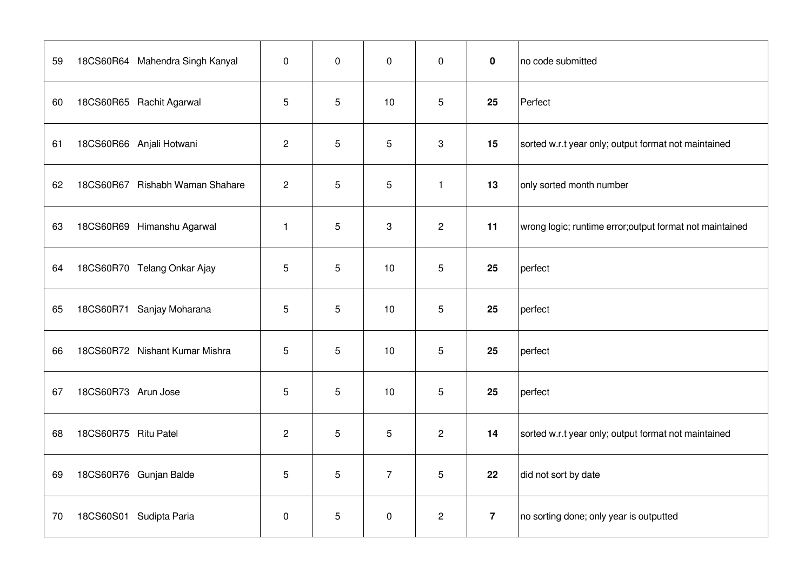| 59 | 18CS60R64 Mahendra Singh Kanyal | $\mathbf 0$  | $\mathbf{0}$   | $\mathbf 0$    | $\mathbf 0$    | $\mathbf 0$    | no code submitted                                        |
|----|---------------------------------|--------------|----------------|----------------|----------------|----------------|----------------------------------------------------------|
| 60 | 18CS60R65 Rachit Agarwal        | 5            | 5              | 10             | 5              | 25             | Perfect                                                  |
| 61 | 18CS60R66 Anjali Hotwani        | $\mathbf{2}$ | 5              | 5              | 3              | 15             | sorted w.r.t year only; output format not maintained     |
| 62 | 18CS60R67 Rishabh Waman Shahare | $\mathbf{2}$ | 5              | 5              | $\mathbf{1}$   | 13             | only sorted month number                                 |
| 63 | 18CS60R69 Himanshu Agarwal      | $\mathbf{1}$ | 5              | 3              | $\overline{c}$ | 11             | wrong logic; runtime error; output format not maintained |
| 64 | 18CS60R70 Telang Onkar Ajay     | 5            | 5              | 10             | 5              | 25             | perfect                                                  |
| 65 | 18CS60R71 Sanjay Moharana       | 5            | 5              | 10             | 5              | 25             | perfect                                                  |
| 66 | 18CS60R72 Nishant Kumar Mishra  | 5            | $\overline{5}$ | 10             | 5              | 25             | perfect                                                  |
| 67 | 18CS60R73 Arun Jose             | 5            | 5              | 10             | 5              | 25             | perfect                                                  |
| 68 | 18CS60R75 Ritu Patel            | $\mathbf{2}$ | 5              | 5              | $\overline{c}$ | 14             | sorted w.r.t year only; output format not maintained     |
| 69 | 18CS60R76 Gunjan Balde          | 5            | 5              | $\overline{7}$ | 5              | 22             | did not sort by date                                     |
| 70 | 18CS60S01 Sudipta Paria         | $\pmb{0}$    | 5              | $\mathbf 0$    | $\overline{c}$ | $\overline{7}$ | no sorting done; only year is outputted                  |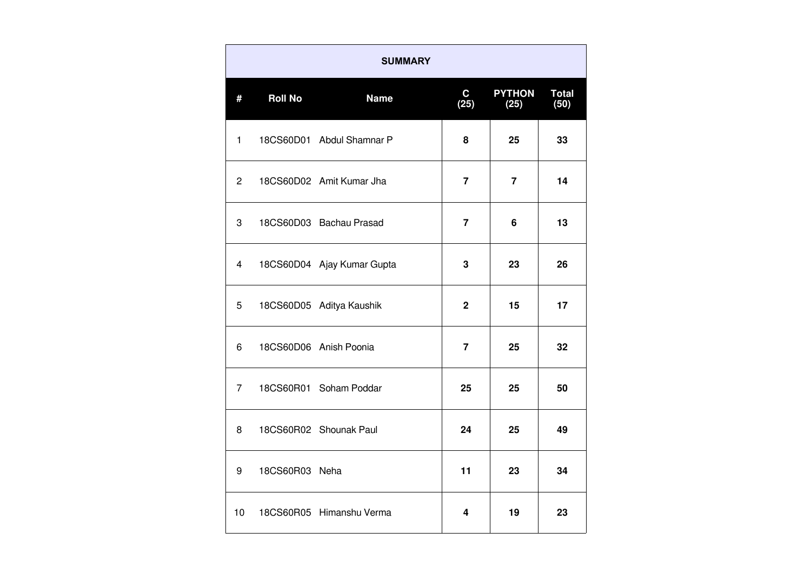| <b>SUMMARY</b> |                |                            |                      |                       |                      |
|----------------|----------------|----------------------------|----------------------|-----------------------|----------------------|
| #              | <b>Roll No</b> | <b>Name</b>                | $\mathbf{C}$<br>(25) | <b>PYTHON</b><br>(25) | <b>Total</b><br>(50) |
| $\mathbf{1}$   |                | 18CS60D01 Abdul Shamnar P  | 8                    | 25                    | 33                   |
| $\overline{2}$ |                | 18CS60D02 Amit Kumar Jha   | $\overline{7}$       | $\overline{7}$        | 14                   |
| 3              |                | 18CS60D03 Bachau Prasad    | $\overline{7}$       | 6                     | 13                   |
| 4              |                | 18CS60D04 Ajay Kumar Gupta | 3                    | 23                    | 26                   |
| 5              |                | 18CS60D05 Aditya Kaushik   | $\overline{2}$       | 15                    | 17                   |
| 6              |                | 18CS60D06 Anish Poonia     | $\overline{7}$       | 25                    | 32                   |
| $\overline{7}$ |                | 18CS60R01 Soham Poddar     | 25                   | 25                    | 50                   |
| 8              |                | 18CS60R02 Shounak Paul     | 24                   | 25                    | 49                   |
| 9              | 18CS60R03 Neha |                            | 11                   | 23                    | 34                   |
| 10             |                | 18CS60R05 Himanshu Verma   | 4                    | 19                    | 23                   |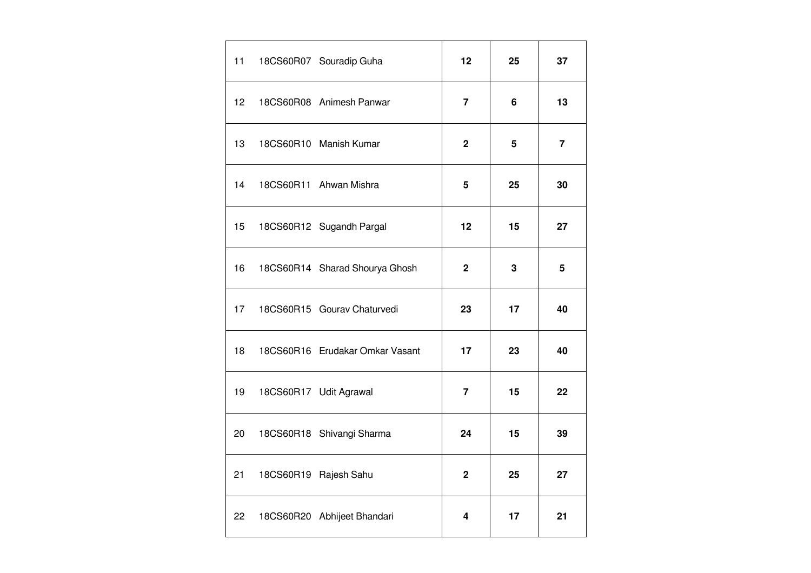| 11 | 18CS60R07 Souradip Guha         | 12             | 25 | 37                      |
|----|---------------------------------|----------------|----|-------------------------|
| 12 | 18CS60R08 Animesh Panwar        | 7              | 6  | 13                      |
| 13 | 18CS60R10 Manish Kumar          | $\mathbf{2}$   | 5  | $\overline{\mathbf{7}}$ |
| 14 | 18CS60R11 Ahwan Mishra          | 5              | 25 | 30                      |
| 15 | 18CS60R12 Sugandh Pargal        | 12             | 15 | 27                      |
| 16 | 18CS60R14 Sharad Shourya Ghosh  | 2              | 3  | 5                       |
| 17 | 18CS60R15 Gourav Chaturvedi     | 23             | 17 | 40                      |
| 18 | 18CS60R16 Erudakar Omkar Vasant | 17             | 23 | 40                      |
| 19 | 18CS60R17 Udit Agrawal          | $\overline{7}$ | 15 | 22                      |
| 20 | 18CS60R18 Shivangi Sharma       | 24             | 15 | 39                      |
| 21 | 18CS60R19 Rajesh Sahu           | $\mathbf{2}$   | 25 | 27                      |
| 22 | 18CS60R20 Abhijeet Bhandari     | 4              | 17 | 21                      |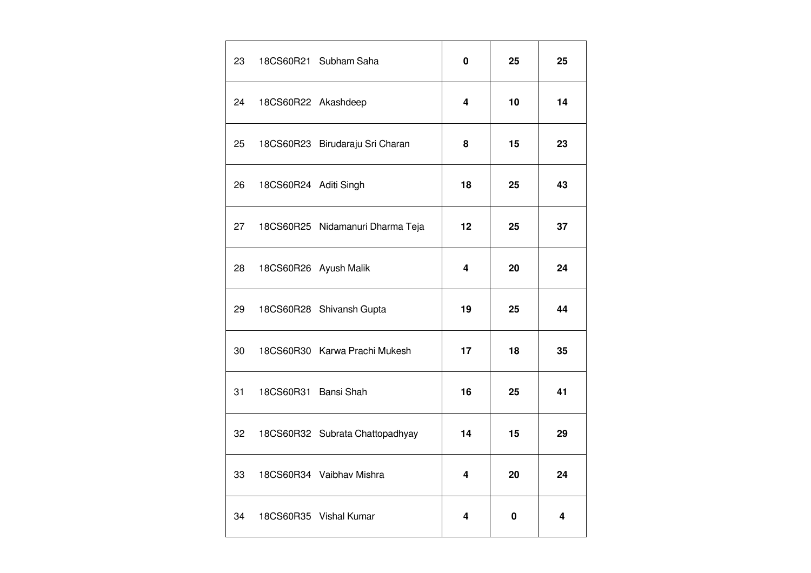| 23 |                       | 18CS60R21 Subham Saha            | 0  | 25          | 25 |
|----|-----------------------|----------------------------------|----|-------------|----|
| 24 | 18CS60R22 Akashdeep   |                                  | 4  | 10          | 14 |
| 25 |                       | 18CS60R23 Birudaraju Sri Charan  | 8  | 15          | 23 |
| 26 | 18CS60R24 Aditi Singh |                                  | 18 | 25          | 43 |
| 27 |                       | 18CS60R25 Nidamanuri Dharma Teja | 12 | 25          | 37 |
| 28 |                       | 18CS60R26 Ayush Malik            | 4  | 20          | 24 |
| 29 |                       | 18CS60R28 Shivansh Gupta         | 19 | 25          | 44 |
| 30 |                       | 18CS60R30 Karwa Prachi Mukesh    | 17 | 18          | 35 |
| 31 | 18CS60R31 Bansi Shah  |                                  | 16 | 25          | 41 |
| 32 |                       | 18CS60R32 Subrata Chattopadhyay  | 14 | 15          | 29 |
| 33 |                       | 18CS60R34 Vaibhav Mishra         | 4  | 20          | 24 |
| 34 |                       | 18CS60R35 Vishal Kumar           | 4  | $\mathbf 0$ | 4  |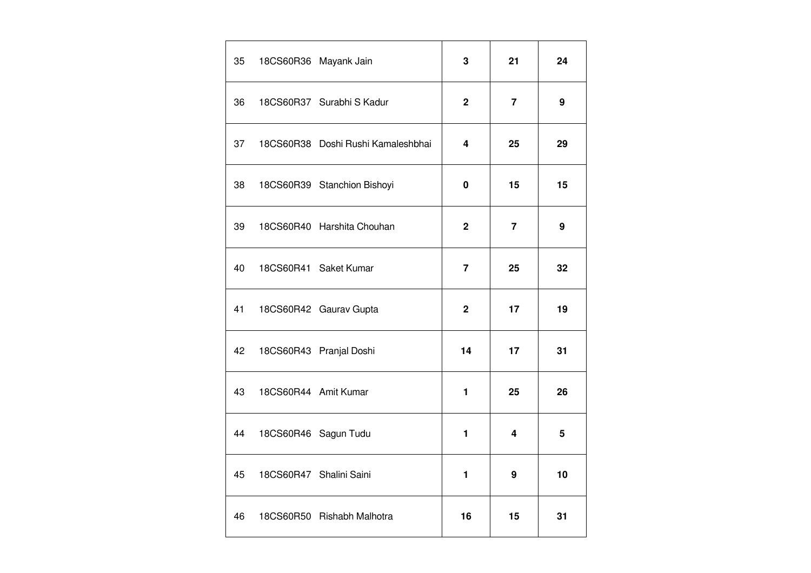| 35 |                      | 18CS60R36 Mayank Jain              | 3              | 21             | 24 |
|----|----------------------|------------------------------------|----------------|----------------|----|
| 36 |                      | 18CS60R37 Surabhi S Kadur          | $\overline{2}$ | 7              | 9  |
| 37 |                      | 18CS60R38 Doshi Rushi Kamaleshbhai | 4              | 25             | 29 |
| 38 |                      | 18CS60R39 Stanchion Bishoyi        | $\pmb{0}$      | 15             | 15 |
| 39 |                      | 18CS60R40 Harshita Chouhan         | $\mathbf{2}$   | $\overline{7}$ | 9  |
| 40 |                      | 18CS60R41 Saket Kumar              | 7              | 25             | 32 |
| 41 |                      | 18CS60R42 Gaurav Gupta             | $\mathbf{2}$   | 17             | 19 |
| 42 |                      | 18CS60R43 Pranjal Doshi            | 14             | 17             | 31 |
| 43 | 18CS60R44 Amit Kumar |                                    | 1              | 25             | 26 |
| 44 |                      | 18CS60R46 Sagun Tudu               | 1              | 4              | 5  |
| 45 |                      | 18CS60R47 Shalini Saini            | 1              | 9              | 10 |
| 46 |                      | 18CS60R50 Rishabh Malhotra         | 16             | 15             | 31 |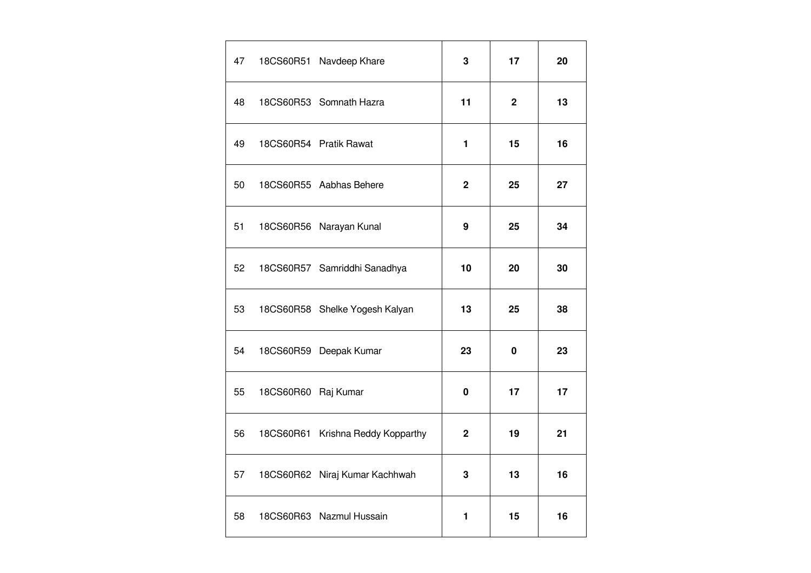| 47 |                     | 18CS60R51 Navdeep Khare           | 3            | 17          | 20 |
|----|---------------------|-----------------------------------|--------------|-------------|----|
| 48 |                     | 18CS60R53 Somnath Hazra           | 11           | $\mathbf 2$ | 13 |
| 49 |                     | 18CS60R54 Pratik Rawat            | 1            | 15          | 16 |
| 50 |                     | 18CS60R55 Aabhas Behere           | $\mathbf{2}$ | 25          | 27 |
| 51 |                     | 18CS60R56 Narayan Kunal           | 9            | 25          | 34 |
| 52 |                     | 18CS60R57 Samriddhi Sanadhya      | 10           | 20          | 30 |
| 53 |                     | 18CS60R58 Shelke Yogesh Kalyan    | 13           | 25          | 38 |
| 54 |                     | 18CS60R59 Deepak Kumar            | 23           | 0           | 23 |
| 55 | 18CS60R60 Raj Kumar |                                   | 0            | 17          | 17 |
| 56 |                     | 18CS60R61 Krishna Reddy Kopparthy | 2            | 19          | 21 |
| 57 |                     | 18CS60R62 Niraj Kumar Kachhwah    | 3            | 13          | 16 |
| 58 |                     | 18CS60R63 Nazmul Hussain          | 1            | 15          | 16 |